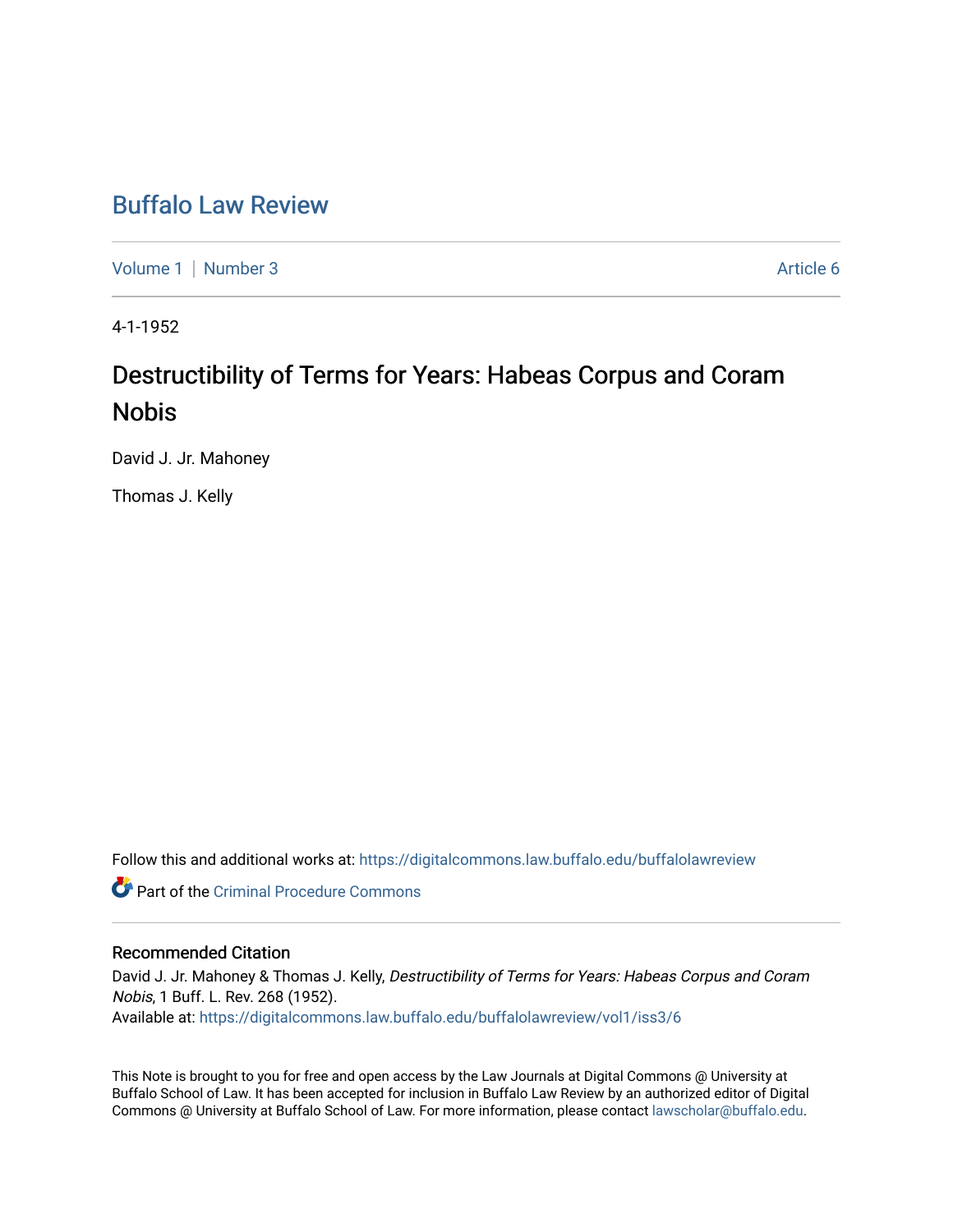## [Buffalo Law Review](https://digitalcommons.law.buffalo.edu/buffalolawreview)

[Volume 1](https://digitalcommons.law.buffalo.edu/buffalolawreview/vol1) | [Number 3](https://digitalcommons.law.buffalo.edu/buffalolawreview/vol1/iss3) Article 6

4-1-1952

# Destructibility of Terms for Years: Habeas Corpus and Coram Nobis

David J. Jr. Mahoney

Thomas J. Kelly

Follow this and additional works at: [https://digitalcommons.law.buffalo.edu/buffalolawreview](https://digitalcommons.law.buffalo.edu/buffalolawreview?utm_source=digitalcommons.law.buffalo.edu%2Fbuffalolawreview%2Fvol1%2Fiss3%2F6&utm_medium=PDF&utm_campaign=PDFCoverPages) 

**Part of the Criminal Procedure Commons** 

## Recommended Citation

David J. Jr. Mahoney & Thomas J. Kelly, Destructibility of Terms for Years: Habeas Corpus and Coram Nobis, 1 Buff. L. Rev. 268 (1952). Available at: [https://digitalcommons.law.buffalo.edu/buffalolawreview/vol1/iss3/6](https://digitalcommons.law.buffalo.edu/buffalolawreview/vol1/iss3/6?utm_source=digitalcommons.law.buffalo.edu%2Fbuffalolawreview%2Fvol1%2Fiss3%2F6&utm_medium=PDF&utm_campaign=PDFCoverPages) 

This Note is brought to you for free and open access by the Law Journals at Digital Commons @ University at Buffalo School of Law. It has been accepted for inclusion in Buffalo Law Review by an authorized editor of Digital Commons @ University at Buffalo School of Law. For more information, please contact [lawscholar@buffalo.edu](mailto:lawscholar@buffalo.edu).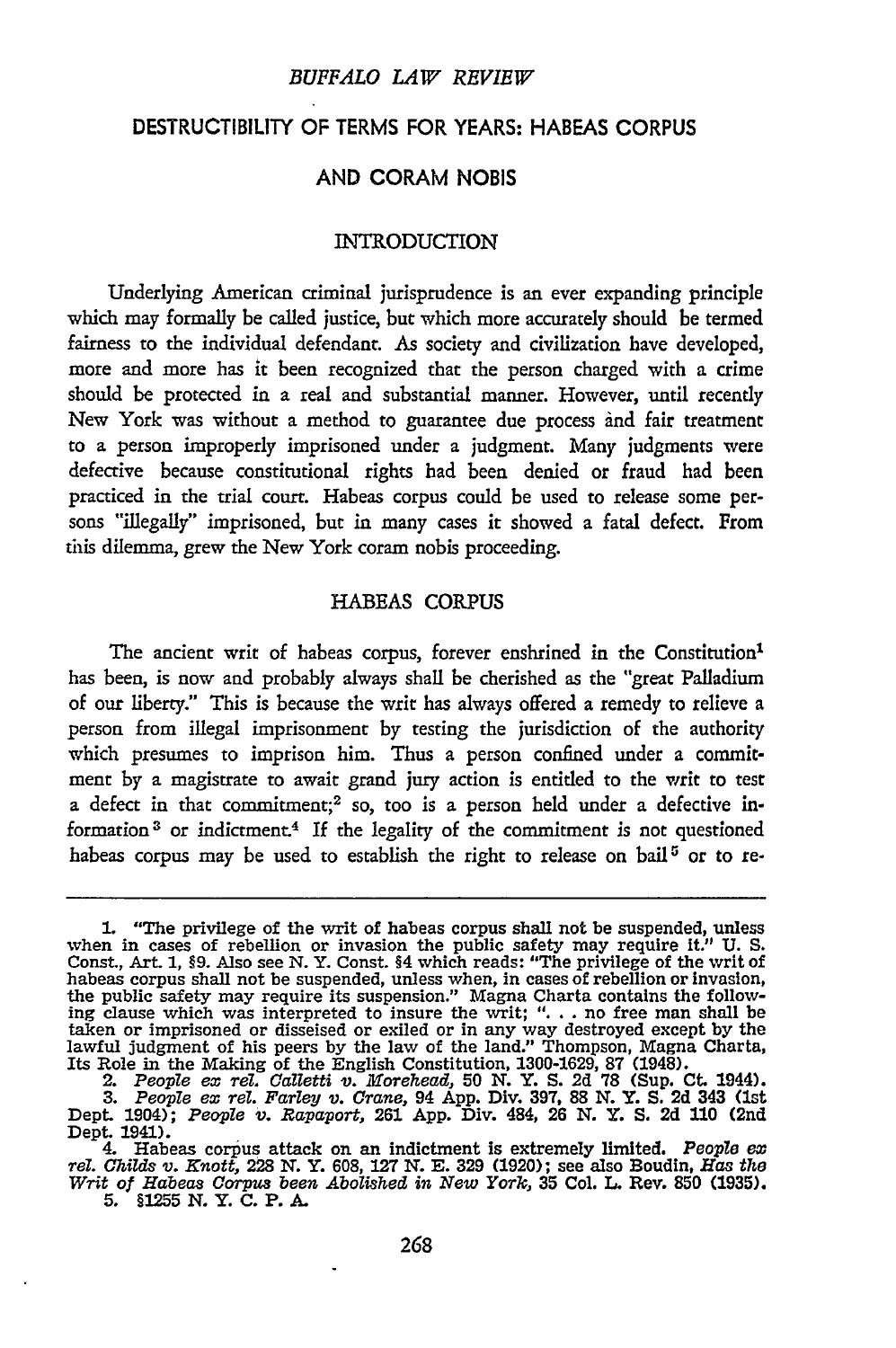## DESTRUCTIBILITY OF TERMS FOR YEARS: HABEAS CORPUS

#### **AND** CORAM NOBIS

#### **INTRODUCTION**

Underlying American criminal jurisprudence is an ever expanding principle which may formally be called justice, but which more accurately should be termed fairness to the individual defendant. As society and civilization have developed, more and more has it been recognized that the person charged with a crime should be protected in a real and substantial manner. However, until recently New York was without a method to guarantee due process and fair treatment to a person improperly imprisoned under a judgment. Many judgments were defective because constitutional rights had been denied or fraud had been practiced in the trial court. Habeas corpus could be used to release some persons "illegally" imprisoned, but in many cases it showed a fatal defect. From this dilemma, grew the New York coram nobis proceeding.

#### HABEAS CORPUS

The ancient writ of habeas corpus, forever enshrined in the Constitution<sup>1</sup> has been, is now and probably always shall be cherished as the "great Palladium of our liberty." This is because the writ has always offered a remedy to relieve a person from illegal imprisonment by testing the jurisdiction of the authority which presumes to imprison him. Thus a person confined under a commitment by a magistrate to await grand jury action is entitled to the writ to test a defect in that commitment;<sup>2</sup> so, too is a person held under a defective information 3 or indictment.4 If the legality of the commitment is not questioned habeas corpus may be used to establish the right to release on bail **5** or to re-

**<sup>1.</sup>** "The privilege of the writ of habeas corpus shall not be suspended, unless when in cases of rebellion or invasion the public safety may require it." U. S. Const., Art. 1, §9. Also see N. Y. Const. §4 which reads: "The privilege of the writ of habeas corpus shall not be suspended, unless when, in taken or imprisoned or disseised or exiled or in any way destroyed except by the Lawful judgment of his peers by the law of the land." Thompson, Magna Charta,<br>Its Role in the Making of the English Constitution, 1300-1629, 87 (1948).<br>2. People ex rel. Calletti v. Morehead, 50 N. Y. S. 2d 78 (Sup. Ct. 19

**<sup>3.</sup>** *People ex rel. Farley v. Crane,* 94 **App.** Div. 397, 88 *N.* Y. **S.** 2d 343 (1st Dept. 1904); *People v. Rapaport,* **261** App. Div. 484, **26 N.** Y. **S. 2d 110** (2nd Dept. 1941).

<sup>4.</sup> Habeas corpus attack on an indictment is extremely limited. *People ex rel. Childs v. Knott,* **228** *N.* Y. **608, 127 N. E. 329 (1920);** see also Boudin, *Has the Writ of Habeas Corpus been Abolished in New York,* **35** Col. L. Rev. **850** (1935). **5.** §1255 N. Y. **C.** P. A.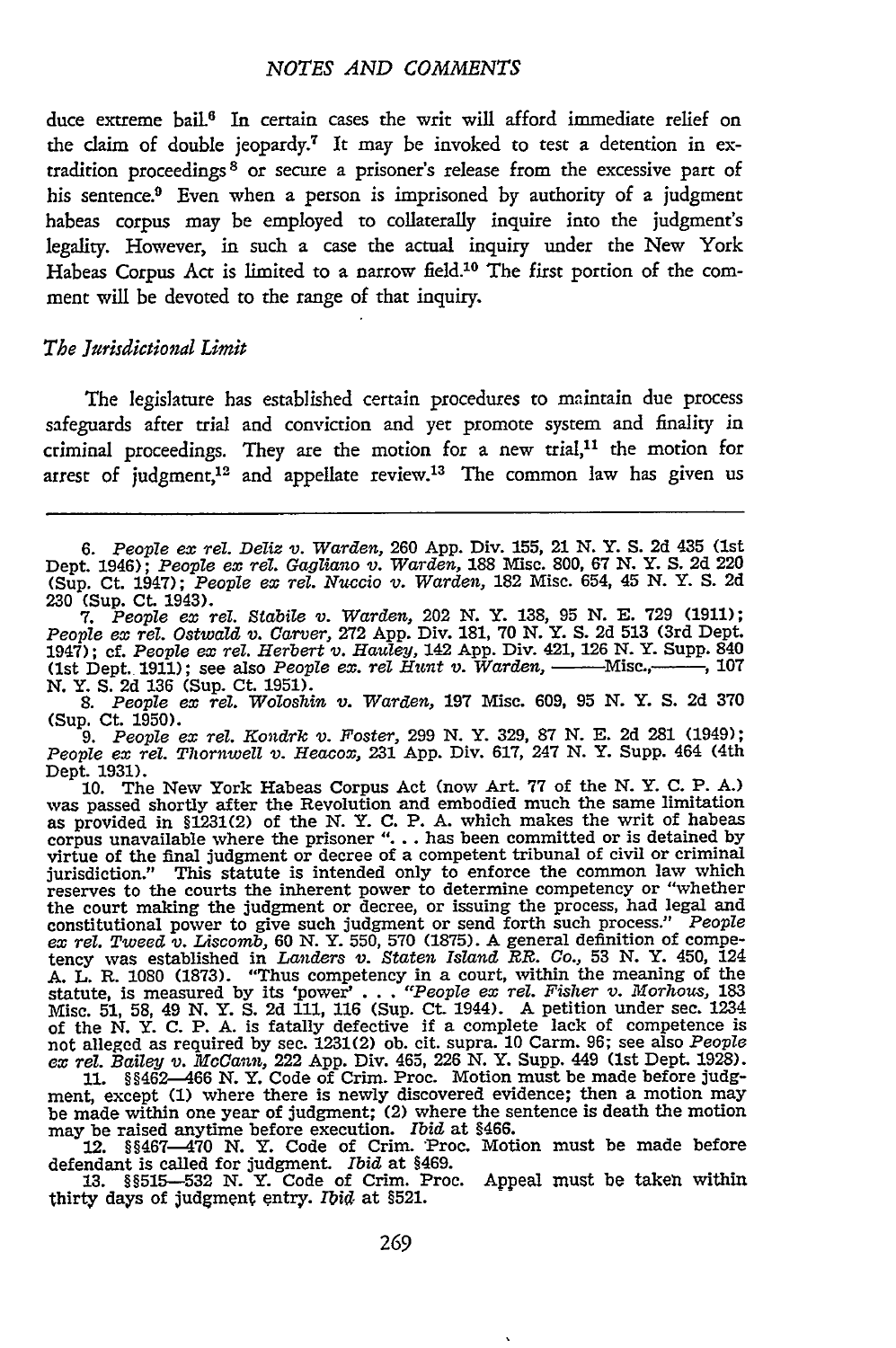duce extreme bail.<sup>6</sup> In certain cases the writ will afford immediate relief on the claim of double jeopardy.<sup>7</sup> It may be invoked to test a detention in extradition proceedings 3 or secure a prisoner's release from the excessive part of his sentence.<sup>9</sup> Even when a person is imprisoned by authority of a judgment habeas corpus may be employed to collaterally inquire into the judgment's legality. However, in such a case the actual inquiry under the New York Habeas Corpus Act is limited to a narrow field.10 The first portion of the comment will be devoted to the range of that inquiry.

#### *The Jurisdictional Limit*

The legislature has established certain procedures to maintain due process safeguards after trial and conviction and yet promote system and finality in criminal proceedings. They are the motion for a new trial,<sup>11</sup> the motion for arrest of judgment,<sup>12</sup> and appellate review.<sup>13</sup> The common law has given us

7. People ex rel. Stabile v. Warden, 202 N. Y. 138, 95 N. E. 729 (1911);<br>People ex rel. Ostwald v. Carver, 272 App. Div. 181, 70 N. Y. S. 2d 513 (3rd Dept. 1947); cf. *People ex rel. Herbert v. Hauley,* 142 **App.** Div. 421, **126 N.** Y. Supp. 840 (1st Dept. **1911);** see also *People ex. rel Hunt v. Warden,* **-** Misc.,-- , **107** *N.* Y. **S. 2d 136** (Sup. Ct. **1951).**

*8. People ex rel. Woloshin v. Warden,* **197** Misc. **609, 95 N.** Y. **S. 2d 370 (Sup.** Ct. **1950).**

*9. People* **ex** *rel. Kondrk v. Foster,* **299 N.** Y. **329, 87 N. E. 2d 281** (1949); *People* **ex** *rel.* Thzornwell v. *Heacox,* **231 App.** Div. **617,** 247 **N.** Y. Supp. 464 **(4th** Dept. **1931).**

10. The New York Habeas Corpus Act (now Art. 77 of the N. Y. C. P. A.) was passed shortly after the Revolution and embodied much the same limitation was passed shortly after the Revolution and embodied much the same limitation as provided in **§1231(2)** of the **N.** Y. **C.** P. **A.** which makes the writ of habeas corpus unavailable where the prisoner **"... .** has been committed or is detained **by** virtue of the final judgment or decree of a competent tribunal of civil or criminal jurisdiction." This statute is intended only to enforce the common law which reserves to the courts the inherent power to determine competency or "whether the court making the judgment or decree, or issuing the process, had legal and constitutional power to give such judgment or send forth such process." People *ex rel. Tweed v. Liscomb,* **60** *N.* Y. **550, 570 (1875). A** general definition of compe-tency was established in *Landers v. Staten Island R. Co.,* **53 N.** Y. 450, 124 A. L. R. 1080 (1873). "Thus competency in a court, within the meaning of the statute, is measured by its 'power'... "People ex rel. Fisher v. Morhous, 183 Misc. **51, 58,** 49 *N.* Y. **S. 2d 111, 116** (Sup. Ct. 1944). **A** petition under sec. 1234 of the N.Y. C. P. A. is fatally defective if a complete lack of competence is not alleged as required by sec. 1231(2) ob. cit. supra. 10 Carm. 96; see also *People ex rel. Bailey v. McCann,* 222 **App.** Div. 465, **226 N.** Y. Supp. 449 (1st Dept. **1928). 11.** §§462-466 **N.** Y. Code of Crim. Proc. Motion must be made before **judg-**

ment, except **(1)** where there is newly discovered evidence; then a motion may be made within one year of judgment; (2) where the sentence is death the motion<br>may be raised anytime before execution. *Ibid* at \$466.<br>12. \$§467—470 N. Y. Code of Crim. Proc. Motion must be made before<br>defendant is called

defendant is called for judgment. *Ibid* at \$469.<br>13. §§515-532 N. Y. Code of Crim. Proc. Appeal must be taken within

thirty days of judgment entry. **Ibid.** at **§521.**

<sup>6.</sup> People ex rel. Deliz v. Warden, 260 App. Div. 155, 21 N. Y. S. 2d 435 (1st Dept. 1946); People ex rel. Gagliano v. Warden, 188 Misc. 800, 67 N. Y. S. 2d 220<br>(Sup. Ct. 1947); People ex rel. Nuccio v. Warden, 182 Misc. 65 **230** (Sup. Ct. 1943).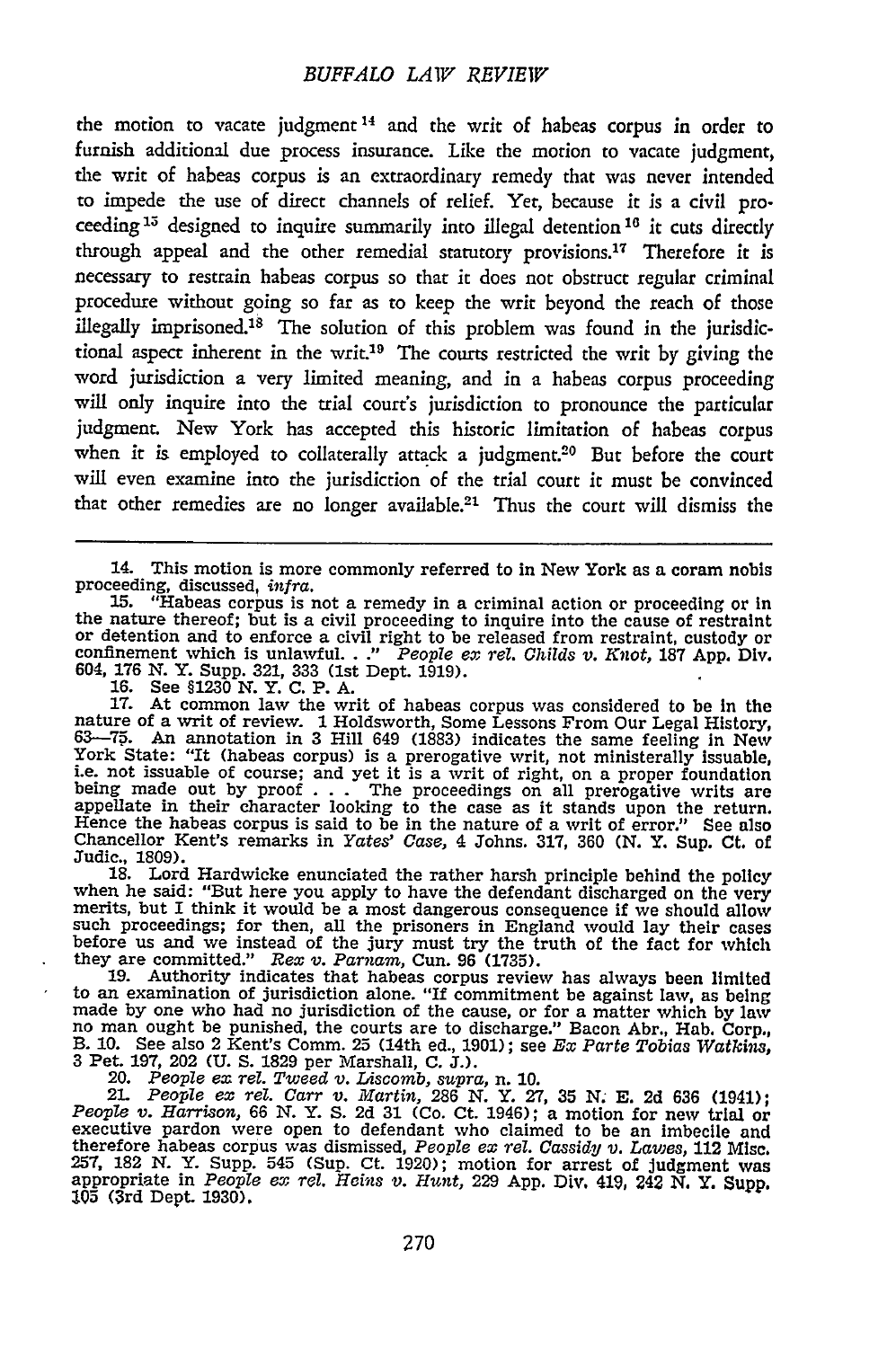the motion to vacate judgment 14 and the writ of habeas corpus in order to furnish additional due process insurance. Like the motion to vacate judgment, the writ of habeas corpus is an extraordinary remedy that was never intended to impede the use of direct channels of relief. Yet, because it is a civil proceeding<sup>15</sup> designed to inquire summarily into illegal detention<sup>16</sup> it cuts directly through appeal and the other remedial statutory provisions.<sup>17</sup> Therefore it is necessary to restrain habeas corpus so that it does not obstruct regular criminal procedure without going so far as to keep the writ beyond the reach of those illegally imprisoned.<sup>18</sup> The solution of this problem was found in the jurisdictional aspect inherent in the writ.19 The courts restricted the writ by giving the word jurisdiction a very limited meaning, and in a habeas corpus proceeding will only inquire into the trial court's jurisdiction to pronounce the particular judgment. New York has accepted this historic limitation of habeas corpus when it is employed to collaterally attack a judgment.<sup>20</sup> But before the court will even examine into the jurisdiction of the trial court it must be convinced that other remedies are no longer available.21 Thus the court will dismiss the

14. This motion is more commonly referred to in New York as a coram nobis proceeding, discussed, *infra*.<br>
15. **"Habeas corpus is not a remedy in a criminal action or proceeding or in**<br>
<sup>15</sup>. **"Habeas corpus is not a remedy in a criminal action or proceeding or in** 

the nature thereof; but is a civil proceding to inquire into the cause of restraint<br>or detention and to enforce a civil right to be released from restraint, custody or<br>confinement which is unlawful. .." People ex rel. Chil 604, **176** *N.* Y. Supp. **321, 333** (1st Dept. **1919). 16.** See **§1230 N.** Y. **C.** P. **A.**

17. At common law the writ of habeas corpus was considered to be in the nature of a writ of review. 1 Holdsworth, Some Lessons From Our Legal History, 63—75. An annotation in 3 Hill 649 (1883) indicates the same feeling in being made out **by** proof **. . .** The proceedings on all prerogative writs are appellate in their character looking to the case as it stands upon the return. Hence the habeas corpus is said to be in the nature of a writ of error." See also Chancellor Kent's remarks in *Yates' Case,* 4 Johns. **317, 360** *(N.* Y. Sup. **Ct.** of

Judic., 1809).<br>18. Lord Hardwicke enunciated the rather harsh principle behind the policy<br>when he said: "But here you apply to have the defendant discharged on the very<br>merits, but I think it would be a most dangerous cons such proceedings; for then, all the prisoners in England would lay their cases<br>before us and we instead of the jury must try the truth of the fact for which they are committed." *Rex v. Parnam,* Cun. **96 (1735). 19.** Authority indicates that habeas corpus review has always been limited

to an examination of jurisdiction alone. "If commitment be against law, as being<br>made by one who had no jurisdiction of the cause, or for a matter which by law<br>no man ought be punished, the courts are to discharge." Bacon

21. People ex rel. Carr v. Martin, 286 N.Y., 27, 35 N. E. 2d 636 (1941);<br>People v. Harrison, 66 N.Y. S. 2d 31 (Co. Ct. 1946); a motion for new trial or<br>executive pardon were open to defendant who claimed to be an imbecile 257, 182 N. Y. Supp. 545 (Sup. Ct. 1920); motion for arrest of Judgment was appropriate in *People ex rel, Heins* v. *Hunt,* 229 App. Div. 419, 242 **N.** Y. Supp. **105** (3rd Dept. 1930).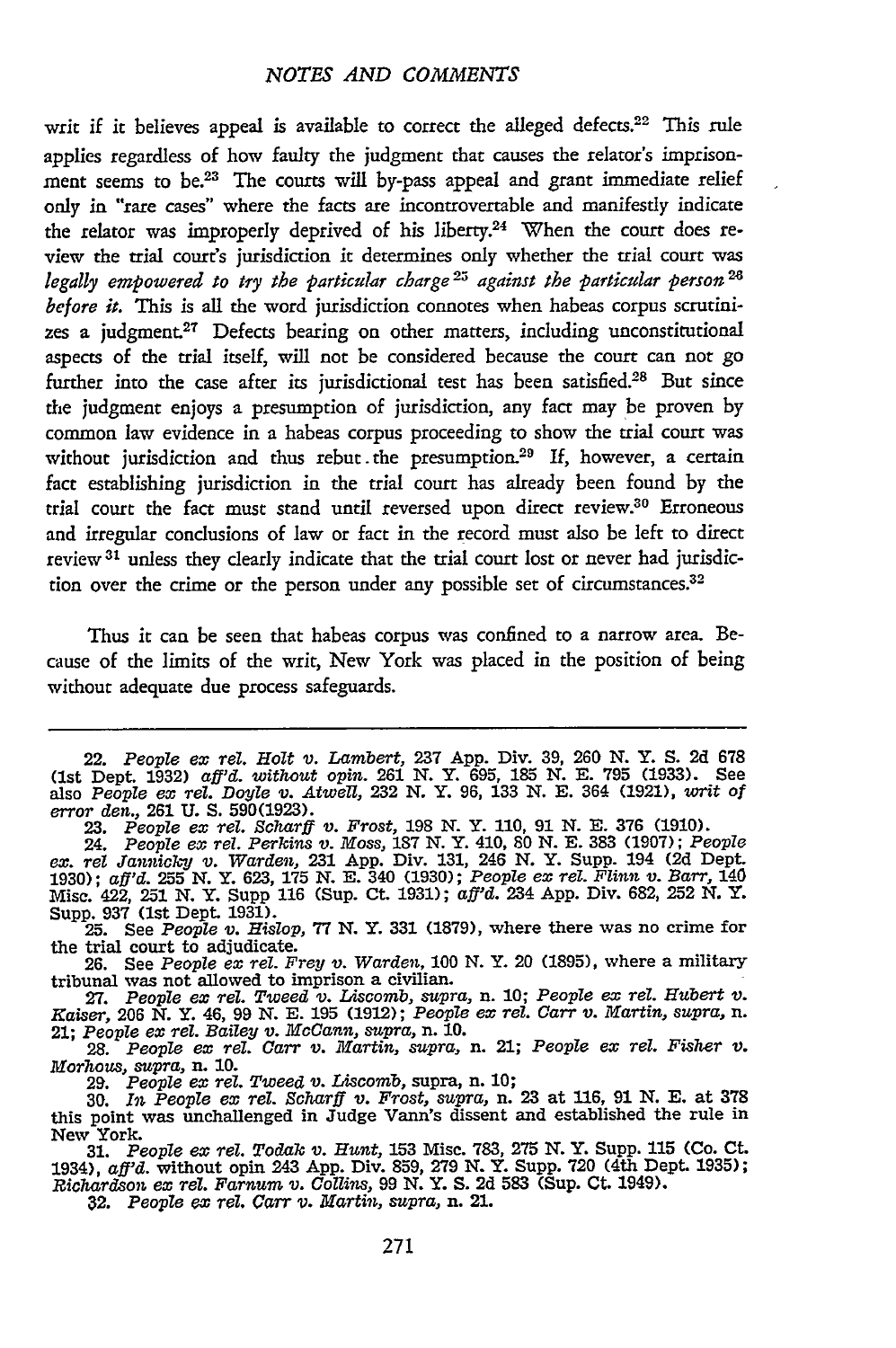writ if it believes appeal is available to correct the alleged defects.<sup>22</sup> This rule applies regardless of how faulty the judgment that causes the relator's imprisonment seems to **be.23** The courts will by-pass appeal and grant immediate relief only in "rare cases" where the facts are incontrovertable and manifestly indicate the relator was improperly deprived of his liberty.<sup>24</sup> When the court does review the trial court's jurisdiction it determines only whether the trial court was *legally empowered to try the particular charge25 against the particular person 1 before it.* This is all the word jurisdiction connotes when habeas corpus scrutinizes a judgment.27 Defects bearing on other matters, including unconstitutional aspects of the trial itself, will not be considered because the court can not go further into the case after its jurisdictional test has been satisfied.<sup>28</sup> But since the judgment enjoys a presumption of jurisdiction, any fact may be proven by common law evidence in a habeas corpus proceeding to show the trial court was without jurisdiction and thus rebut the presumption.<sup>29</sup> If, however, a certain fact establishing jurisdiction in the trial court has already been found by the trial court the fact must stand until reversed upon direct review.30 Erroneous and irregular conclusions of law or fact in the record must also be left to direct review **3 <sup>1</sup>**unless they dearly indicate that the trial court lost or never had jurisdiction over the crime or the person under any possible set of circumstances.<sup>32</sup>

Thus it can be seen that habeas corpus was confined to a narrow area. Because of the limits of the writ, New York was placed in the position of being without adequate due process safeguards.

24. *People ex tel. Perkins v. Moss,* 187 N. Y. 410, *80* N. E. 383 (1907); *People* ex. rel Jannicky v. Warden, 231 App. Div. 131, 246 N. Y. Supp. 194 (2d Dept.<br>1930); aff'd. 255 N. Y. 623, 175 N. E. 340 (1930); People ex rel. Flinn v. Barr, 140<br>Misc. 422, 251 N. Y. Supp 116 (Sup. Ct. 1931); aff'd. 234 Ap Supp. 937 (1st Dept. 1931).

25. See *People v. Hislop,* 77 N. Y. 331 (1879), where there was no crime for the trial court to adjudicate.

26. See *People ex tel. Frey v. Warden,* 100 N. Y. 20 (1895), where a military tribunal was not allowed to imprison a civilian. 27. *People ex Tel. Tweed v. Liscomb,* supra, n. **10;** *People ex rel. Hubert v.*

*Kaiser,* 206 *N.* Y. 46, 99 *N.* E. 195 (1912); *People ex tel. Carr v. Martin, supra,* n. 21; *People en Tel. Bailey v. McCann, supra,* n. **10. 28.** *People ex tel. Carr v. Martin, supra,* n. 21; *People ex tel. Fisher v.*

*Morhous,* supra, n. **10.**

29. *People ex Tel. Tweed v. Liscomb,* supra, n. 10;

30. *In People ex tel. Scharif v. Frost, supra,* n. 23 at **116,** 91 N. E. at 378 this point was unchallenged in Judge Vann's dissent and established the rule in New York.

31. *People ex -rel. Todak v. Hunt,* **153** Misc. 783, 275 **N.** Y. Supp. 115 (Co. Ct. 1934), *aff'd.* without opin 243 App. Div. 859, 279 N. Y. Supp. 720 (4th Dept. 1935)<br>Richardson ex rel. Farnum v. Collins, 99 N. Y. S. 2d 583 (Sup. Ct. 1949).<br>32. People ex rel. Carr v. Martin, supra, n. 21.

<sup>22.</sup> *People ex Tel. Holt* v. *Lambert,* 237 App. Div. 39, 260 N. Y. **S. 2d 678** (1st Dept. 1932) *aff'd. without opin.* 261 N. Y. **695,** 185 N. E. 795 (1933). See also *People ex tel. Doyle 'v. Atwell,* 232 **N.** Y. **96,** 133 **N.** E. 364 (1921), *writ of error den.,* 261 U. S. 590(1923). 23. *People ex tel. Scharff v. Frost,* 198 N. Y. 110, 91 N. E. 376 (1910).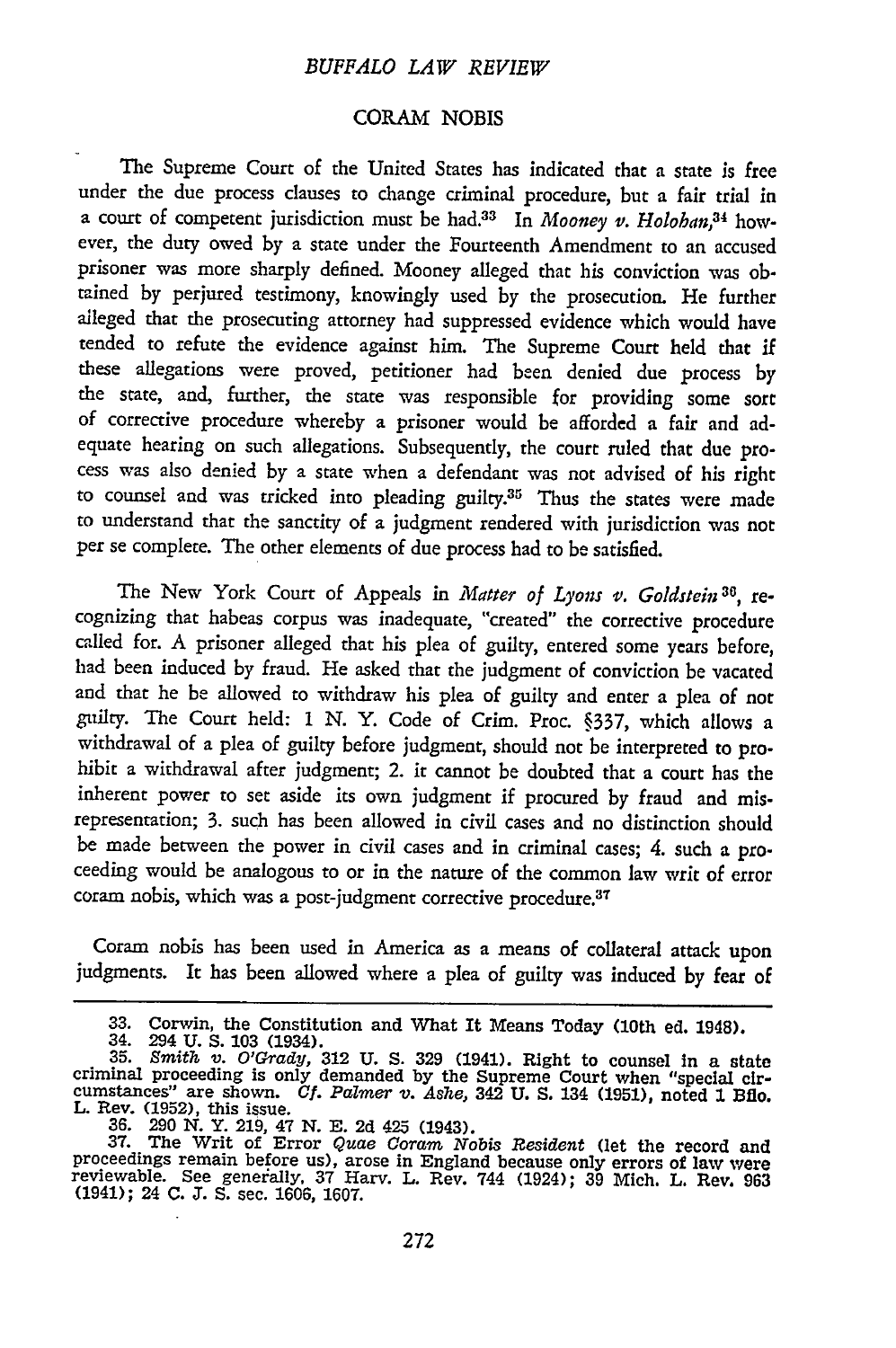#### CORAM NOBIS

**The** Supreme Court of the United States has indicated that a state is free under the due process clauses to change criminal procedure, but a fair trial in a court of competent jurisdiction must be had.<sup>33</sup> In *Mooney v. Holohan*,<sup>34</sup> however, the duty owed by a state under the Fourteenth Amendment to an accused prisoner was more sharply defined. Mooney alleged that his conviction was obtained by perjured testimony, knowingly used by the prosecution. He further alleged that the prosecuting attorney had suppressed evidence which would have tended to refute the evidence against him. The Supreme Court held that if these allegations were proved, petitioner had been denied due process by the state, and, further, the state was responsible for providing some sort of corrective procedure whereby a prisoner would be afforded a fair and adequate hearing on such allegations. Subsequently, the court ruled that due process was also denied by a state when a defendant was not advised of his right to counsel and was tricked into pleading **guilty.35** Thus the states were made to understand that the sanctity of a judgment rendered with jurisdiction was not per se complete. The other elements of due process had to be satisfied.

The New York Court of Appeals in *Matter of Lyons v. Goldstein* **30,** recognizing that habeas corpus was inadequate, "created" the corrective procedure called for. A prisoner alleged that his plea of guilty, entered some years before, had been induced by fraud. He asked that the judgment of conviction be vacated and that he be allowed to withdraw his plea of guilty and enter a plea of not guilty. The Court held: 1 N. Y. Code of Crim. Proc. §337, which allows a withdrawal of a plea of guilty before judgment, should not be interpreted to prohibit a withdrawal after judgment; 2. it cannot be doubted that a court has the inherent power to set aside its own judgment if procured by fraud and misrepresentation; 3. such has been allowed in civil cases and no distinction should be made between the power in civil cases and in criminal cases; 4. such a proceeding would be analogous to or in the nature of the common law writ of error coram nobis, which was a post-judgment corrective procedure. $37$ 

Coram nobis has been used in America as a means of collateral attack upon judgments. It has been allowed where a plea of guilty was induced by fear of

**<sup>33.</sup>** Corwin, the Constitution and What It Means Today (10th ed. 1948). 34. 294 **U. S. 103** (1934). **35.** *Smithb v. O'Grady,* **312 U. S. 329** (1941). Right to counsel In a state

criminal proceeding is only demanded **by** the Supreme Court when "special cir- cumstances" are shown. *Cf. Palmer v. Ashe,* 342 **U. S.** 134 **(1951),** noted **1** Bflo. **L.** Rev. **(1952),** this issue.

<sup>36. 290</sup> N. Y. 219, 47 N. E. 2d 425 (1943).<br>37. The Writ of Error Quae Coram Nobis Resident (let the record and<br>proceedings remain before us), arose in England because only errors of law were<br>reviewable. See generally, 37 H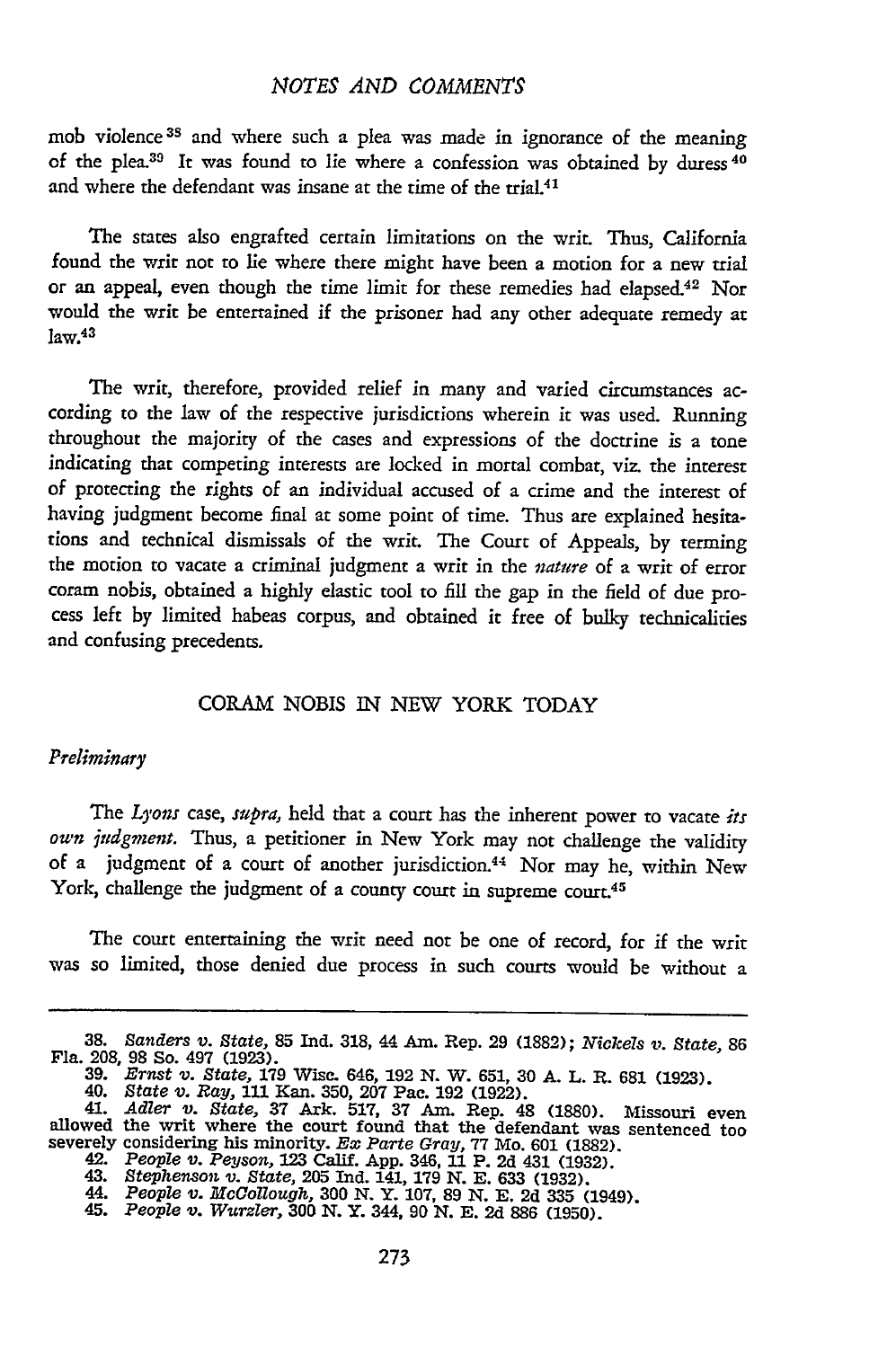mob violence **<sup>3</sup> <sup>s</sup>**and where such a plea was made in ignorance of the meaning of the plea.<sup>39</sup> It was found to lie where a confession was obtained by duress <sup>40</sup> and where the defendant was insane at the time of the trial.<sup>41</sup>

The states also engrafted certain limitations on the writ. Thus, California found the writ not to lie where there might have been a motion for a new trial or an appeal, even though the time limit for these remedies had elapsed.<sup>42</sup> Nor would the writ be entertained if the prisoner had any other adequate remedy at  $law.<sup>43</sup>$ 

The writ, therefore, provided relief in many and varied circumstances according to the law of the respective jurisdictions wherein it was used. Running throughout the majority of the cases and expressions of the doctrine is a tone indicating that competing interests are locked in mortal combat, viz. the interest of protecting the rights of an individual accused of a crime and the interest of having judgment become final at some point of time. Thus are explained hesitations and technical dismissals of the writ. The Court of Appeals, by terming the motion to vacate a criminal judgment a writ in the *nature* of a writ of error coram nobis, obtained a highly elastic tool to fill the gap in the field of due process left by limited habeas corpus, and obtained it free of bulky technicalities and confusing precedents.

#### CORAM NOBIS IN NEW YORK TODAY

#### *Preliminary*

The *Lyons case, supra,* held that a court has the inherent power to vacate *its own judgment.* Thus, a petitioner in New York may not challenge the validity of a judgment of a court of another jurisdiction.<sup>44</sup> Nor may he, within New York, challenge the judgment of a county court in supreme court.<sup>45</sup>

The court entertaining the writ need not be one of record, for if the writ was so limited, those denied due process in such courts would be without a

**<sup>38.</sup>** *Sanders v. State,* **85** Ind. 318, 44 Am. Rep. 29 (1882); *Nickels v. State,* <sup>86</sup>

Fla. 208, 98 So. 497 (1923).<br>39. Ernst v. State, 179 Wisc. 646, 192 N. W. 651, 30 A. L. R. 681 (1923).<br>40. State v. Ray, 111 Kan. 350, 207 Pac. 192 (1922).<br>41. Adler v. State, 37 Ark. 517, 37 Am. Rep. 48 (1880). Missouri e severely considering his minority. Ex Parte Gray, 77 Mo. 601 (1882).<br>42. People v. Peyson, 123 Calif. App. 346, 11 P. 2d 431 (1932).<br>43. Stephenson v. State, 205 Ind. 141, 179 N. E. 633 (1932).<br>44. People v. McCollough, 30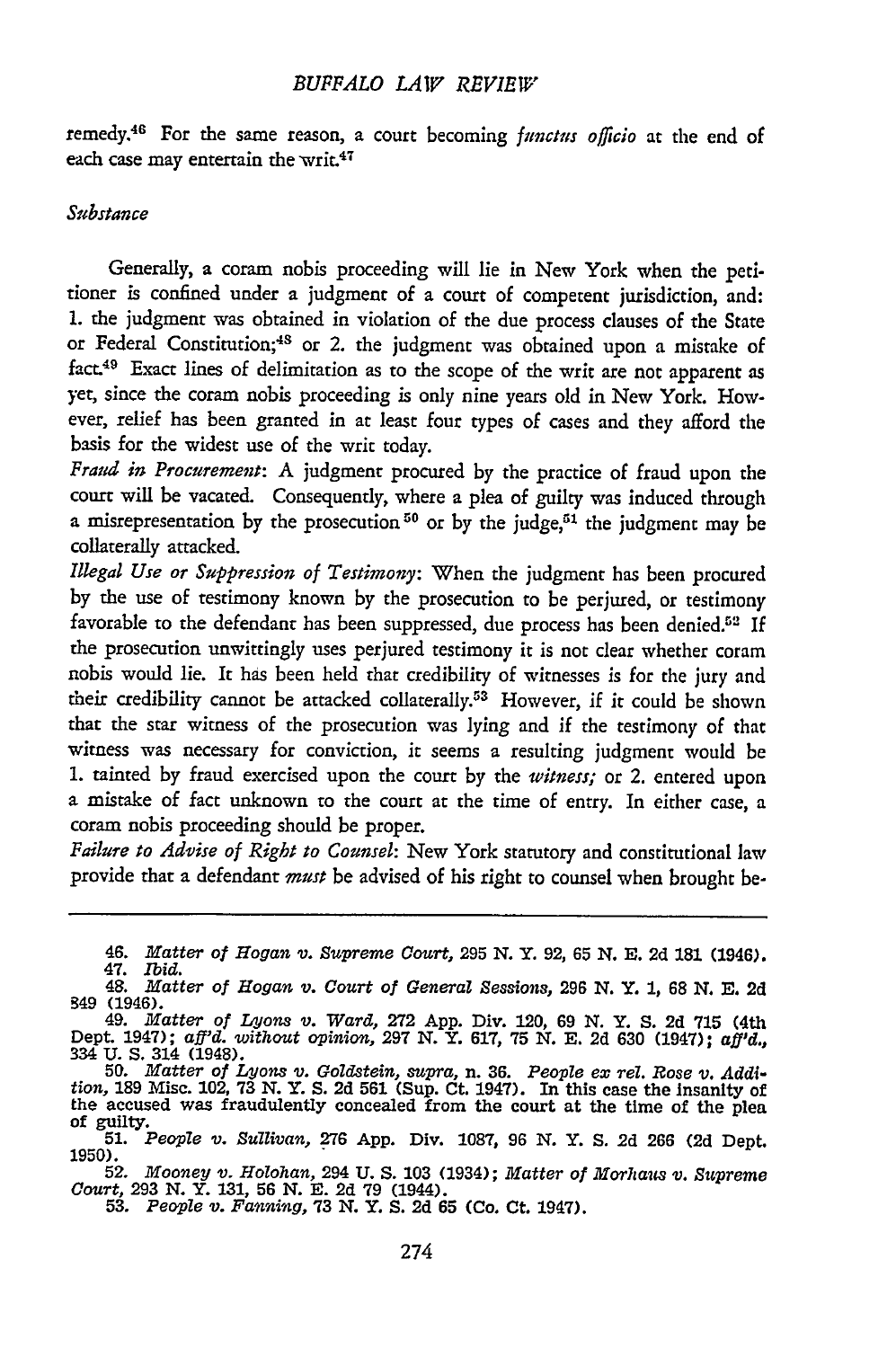remedy.46 For the same reason, a court becoming *functus officio* at the end of each case may entertain the writ.<sup>47</sup>

#### *Substance*

Generally, a coram nobis proceeding will lie in New York when the petitioner is confined under a judgment of a court of competent jurisdiction, and: 1. the judgment was obtained in violation of the due process clauses of the State or Federal Constitution;<sup>48</sup> or 2. the judgment was obtained upon a mistake of fact.49 Exact lines of delimitation as to the scope of the writ are not apparent as yet, since the coram nobis proceeding is only nine years old in New York. However, relief has been granted in at least four types of cases and they afford the basis for the widest use of the writ today.

*Fraud in Procurement:* A judgment procured by the practice of fraud upon the court will be vacated. Consequently, where a plea of guilty was induced through a misrepresentation by the prosecution<sup>50</sup> or by the judge,<sup>51</sup> the judgment may be collaterally attacked.

*Illegal Use or Suppression of Testimony:* When the judgment has been procured by the use of testimony known by the prosecution to be perjured, or testimony favorable to the defendant has been suppressed, due process has been denied.<sup>52</sup> If the prosecution unwittingly uses perjured testimony it is not clear whether coram nobis would lie. It has been held that credibility of witnesses is for the jury and their credibility cannot be attacked collaterally.53 However, **if** it could be shown that the star witness of the prosecution was lying and if the testimony of that witness was necessary for conviction, it seems a resulting judgment would be 1. tainted by fraud exercised upon the court by the *witness;* or 2. entered upon a mistake of fact unknown to the court at the time of entry. In either case, a coram nobis proceeding should be proper.

*Failure to Advise of Right to Counsel:* New York statutory and constitutional law provide that a defendant *must* be advised of his right to counsel when brought be-

<sup>46.</sup> *Matter of Hogan v. Supreme Court,* **295** *N.* Y. **92, 65 N. E. 2d 181** (1946).

<sup>47.</sup> *Ibid.*<br>47. *Ibid.*<br>48. *Matter of Hogan v. Court of General Sessions,* 296 N. Y. 1, 68 N. E. 2d

<sup>349 (1946).&</sup>lt;br>
49. Matter of Lyons v. Ward, 272 App. Div. 120, 69 N. Y. S. 2d 715 (4th<br>
Dept. 1947); aff'd. without opinion, 297 N. Y. 617, 75 N. E. 2d 630 (1947); aff'd.,<br>
334 U. S. 314 (1948).

<sup>&</sup>lt;sup>130</sup> **189 Misc. 102, 73 N. Y. S. 2d 561 (Sup. Ct. 1947).** In this case the insanity of the accused was fraudulently concealed from the court at the time of the plea of guilty.<br>51. People v. Sullivan, 276 App. Div. 1087, 9

<sup>1950).&</sup>lt;br>52. Mooney v. Holohan, 294 U.S. 103 (1934); Matter of Morhaus v. Supreme<br>Court, 293 N.Y. 131, 56 N. E. 2d 79 (1944).<br>53. People v. Fanning, 73 N.Y.S. 2d 65 (Co. Ct. 1947).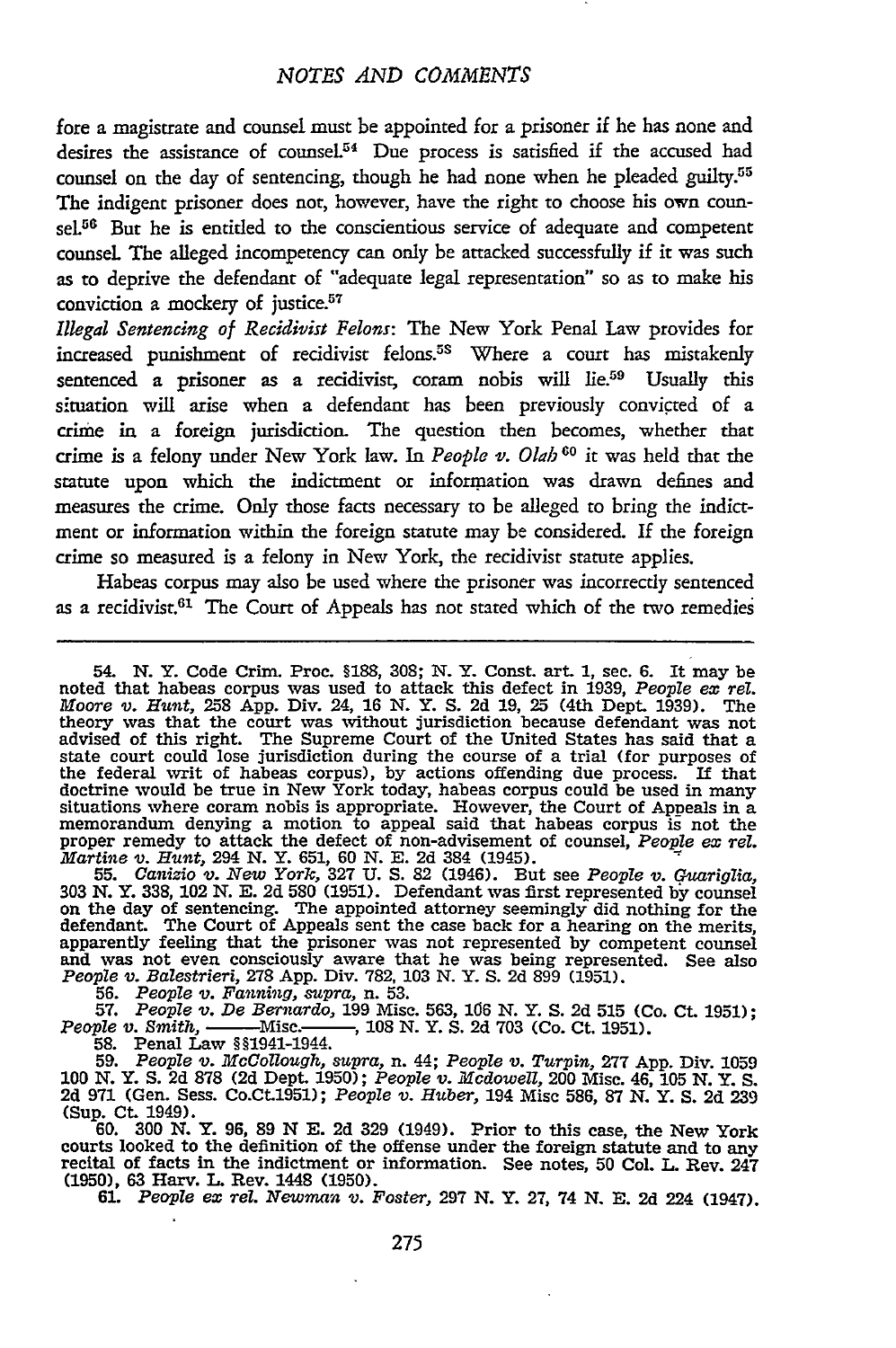fore a magistrate and counsel must be appointed for a prisoner if he has none and desires the assistance of counsel.<sup>54</sup> Due process is satisfied if the accused had counsel on the day of sentencing, though he had none when he pleaded guilty.<sup>55</sup> The indigent prisoner does not, however, have the right to choose his own counsel.<sup>56</sup> But he is entitled to the conscientious service of adequate and competen counsel The alleged incompetency can only be attacked successfully if it was such as to deprive the defendant of "adequate legal representation" so as to make his conviction a mockery of justice. $57$ 

*Illegal Sentencing of Recidivist Felons:* The New York Penal Law provides for increased punishment of recidivist felons.5s Where a court has mistakenly sentenced a prisoner as a recidivist, coram nobis will lie.<sup>59</sup> Usually this s;tuation will arise when a defendant has been previously convicted of a crime in a foreign jurisdiction. The question then becomes, whether that crime is a felony under New York law. In *People v. Olah* <sup>60</sup> it was held that the statute upon which the indictment or information was drawn defines and measures the crime. Only those facts necessary to be alleged to bring the indictment or information within the foreign statute may be considered. If the foreign crime so measured is a felony in New York, the recidivist statute applies.

Habeas corpus may also be used where the prisoner was incorrectly sentenced as a recidivist.<sup>61</sup> The Court of Appeals has not stated which of the two remedies

54. **N.** Y. Code Crim. Proc. **§188,** 308; N. Y. Const. art. *1,* see. **6.** It may be noted that habeas corpus was used to attack this defect in **1939,** *People ex rel. Moore v. Hunt,* 258 **App.** Div. 24, **16 N.** Y. **S. 2d 19,** 25 (4th Dept. **1939).** The theory was that the court was without jurisdiction because defendant was not advised of this right. The Supreme Court of the United States has said that a state court could lose jurisdiction during the course of a trial (for purposes of the federal writ of habeas corpus), by actions offending due process. If that doctrine would be true in New York today, habeas corpus could be used in many situations where coram nobis is appropriate. However, the Court of Appeals in a memorandum denying a motion to appeal said that habeas corpus is not the proper remedy to attack the defect of non-advisement of counsel, *People ex Tel. Martine v. Hunt,* 294 **N.** Y. 651, 60 **N. E. 2d** 384 (1945). **55.** Canizio *v. New York,* 327 **U. S.** 82 (1946). But see *People v. Guariglia,*

**<sup>303</sup>***N.* Y. 338, 102 N. **E.** 2d 580 (1951). Defendant was first represented by counsel on the day of sentencing. The appointed attorney seemingly did nothing for the defendant. The Court of Appeals sent the case back for a hearing on the merits,<br>apparently feeling that the prisoner was not represented by competent counsel<br>and was not even consciously aware that he was being represented *People v. Balestrier,* 278 App. Div. 782. 103 N. Y. S. 2d 899 (1951). **56.** *People v. Fanning, supra,* n. **53.**

**56.** *People v. Fanning, supra, n.* 53.<br> **57.** *People v. De Bernardo,* 199 Misc. 563, 106 N. Y. S. 2d 515 (Co. Ct. 1951);<br> *ple v. Smith,* ——Misc. ——, 108 N. Y. S. 2d 703 (Co. Ct. 1951). People v. Smith, Misc. 1944.<br>58. Penal Law §§1941-1944.<br>59. People v. McCollough, supra, n. 44; People v. Turpin, 277 App. Div. 1059

**100 N.** Y. **S.** 2d **878** (2d Dept. **1950);** *People v. Mcdowell,* 200 Misc. 46, **105 N.** Y. **S.** 2d 971 (Gen. Sess. Co.Ct.1951); *People v. Huber,* 194 Misc **586, 87 N.** Y. **S. 2d** 239 (Sup. Ct. 1949). **60. 300 N.** Y. **96, 89** N **E. 2d 329** (1949). Prior to this case, the New York

courts looked to the definition of the offense under the foreign statute **and** to any recital of facts in the indictment or information. See notes, **50** Col. L. Rev. 247 (1950), 63 Harv. **L.** Rev. 1448 (1950). **61.** *People ex Tel. Newman v. Foster,* **297 N.** Y. **27,** 74 **N. E.** 2d 224 (1947).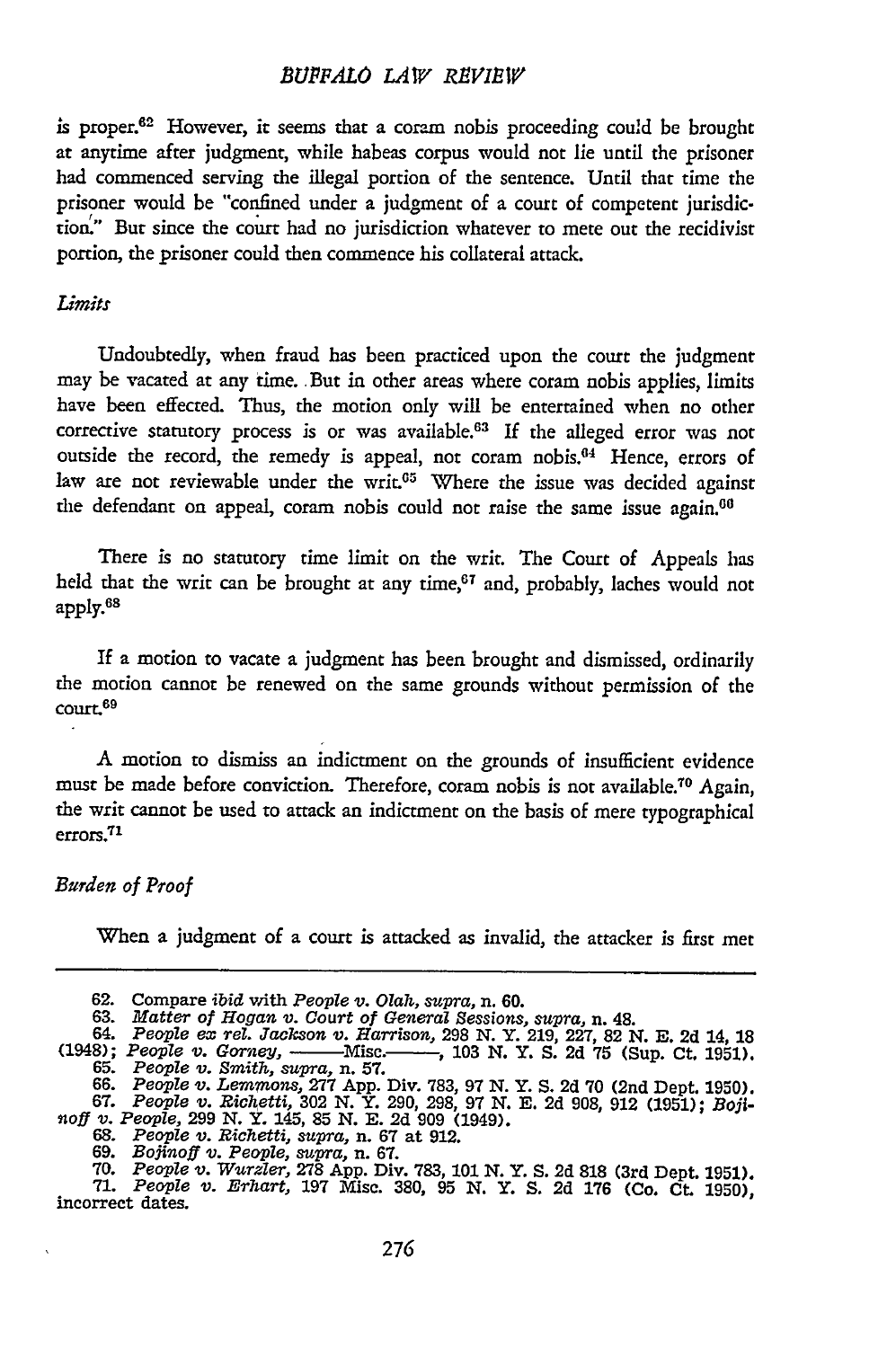is proper.62 However, it seems that a coram nobis proceeding could be brought at anytime after judgment, while habeas corpus would not lie until the prisoner had commenced serving the illegal portion of the sentence. Until that time the prisoner would be "confined under a judgment of a court of competent jurisdiction.' But since the court had no jurisdiction whatever to mete out the recidivist portion, the prisoner could then commence his collateral attack.

#### *Limits*

Undoubtedly, when fraud has been practiced upon the court the judgment may be vacated at any time. But in other areas where coram nobis applies, limits have been effected. Thus, the motion only will be entertained when no other corrective statutory process is or was available.<sup>63</sup> If the alleged error was not outside the record, the remedy is appeal, not coram nobis.<sup>64</sup> Hence, errors of law are not reviewable under the writ.<sup>65</sup> Where the issue was decided against the defendant on appeal, coram nobis could not raise the same issue again.<sup>00</sup>

There is no statutory time limit on the writ. The Court of Appeals has held that the writ can be brought at any time,<sup>67</sup> and, probably, laches would not apply.<sup>68</sup>

If a motion to vacate a judgment has been brought and dismissed, ordinarily the motion cannot be renewed on the same grounds without permission of the court.<sup>69</sup>

A motion to dismiss an indictment on the grounds of insufficient evidence must be made before conviction. Therefore, coram nobis is not available.<sup>70</sup> Again, the writ cannot be used to attack an indictment on the basis of mere typographical errors.<sup>71</sup>

#### *Burden of Proof*

When a judgment of a court is attacked as invalid, the attacker is first met

**<sup>62.</sup>** Compare *ibid* with *People v. Olah, supra,* n. 60.

<sup>63.</sup> *Matter of Hogan v. Court of General Sessions, supra,* n. 48. 64. *People ex rel. Jackson 'v. Harrison,* **298** N. Y. **219,** 227, 82 N. E. **2d** 14, **<sup>18</sup>**

<sup>(1948);</sup> *People v. Gorney,* - Misc.- , 103 N. Y. **S.** 2d 75 (Sup. Ct. 1951). 65. *People v. Smith, supra,* n. **57.**

<sup>66.</sup> People v. Lemmons, 277 App. Div. 783, 97 N. Y. S. 2d 70 (2nd Dept. 1950).<br>67. People v. Richetti, 302 N. Y. 290, 298, 97 N. E. 2d 908, 912 (1951); Boji-<br>noff v. People, 299 N. Y. 145, 85 N. E. 2d 909 (1949).<br>68. People

<sup>69.</sup> Bojinoff v. People, supra, n. 67.<br>19. People v. Wurzler, 278 App. Div. 783, 101 N. Y. S. 2d 818 (3rd Dept. 1951)<br>11. People v. Erhart, 197 Misc. 380, 95 N. Y. S. 2d 176 (Co. Ct. 1950) incorrect dates.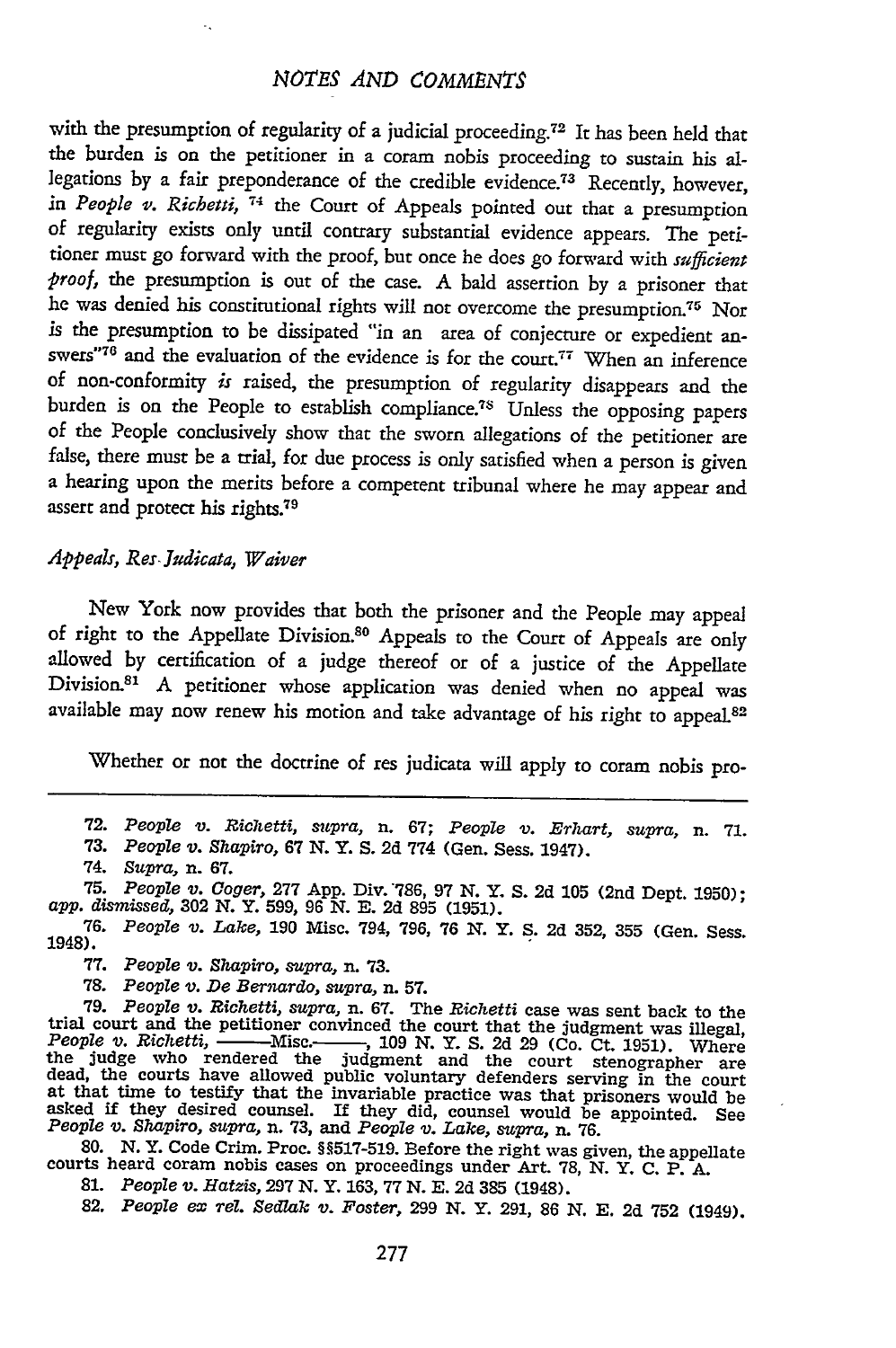with the presumption of regularity of a judicial proceeding. 72 It has been held that the burden is on the petitioner in a coram nobis proceeding to sustain his allegations by a fair preponderance of the credible evidence.73 Recently, however, *in People v. Richetti,* **74** the Court of Appeals pointed out that a presumption of regularity exists only until contrary substantial evidence appears. The petitioner must go forward with the proof, but once he does go forward with *sufficient proof,* the presumption is out of the case. A bald assertion by a prisoner that he was denied his constitutional rights will not overcome the presumption.<sup>75</sup> Nor is the presumption to be dissipated "in an area of conjecture or expedient answers"76 and the evaluation of the evidence is for the court.<sup>77</sup> When an inference of non-conformity *is* raised, the presumption of regularity disappears and the burden is on the People to establish compliance.<sup>78</sup> Unless the opposing papers of the People conclusively show that the sworn allegations of the petitioner are false, there must be a trial, for due process is only satisfied when a person is given a hearing upon the merits before a competent tribunal where he may appear and assert and protect his rights.<sup>79</sup>

#### *Appeals,* Res *Judicata, Waiver*

New York now provides that both the prisoner and the People may appeal of right to the Appellate Division.<sup>80</sup> Appeals to the Court of Appeals are only allowed by certification of a judge thereof or of a justice of the Appellate Division.<sup>81</sup> A petitioner whose application was denied when no appeal was available may now renew his motion and take advantage of his right to appeal.82

Whether or not the doctrine of res judicata will apply to coram nobis pro-

72. *People v. Richetti, supra,* n. 67; *People v. Erhart, supra,* n. **71.**

73. *People v. Shapiro,* 67 N. Y. S. 2d 774 (Gen. Sess. 1947).

74. *Supra,* n. 67.

75. *People v. Coger,* 277 App. Div. "786, 97 N. Y. S. 2d 105 (2nd Dept. 1950); app. *dismissed,* 302 N. Y. 599, 96 *N.* **E.** 2d 895 (1951).

76. *People v. Lake,* 190 Misc. 794, 796, 76 N. Y. S. 2d 352, 355 (Gen. Sess. 1948).

**77.** *People v. Shapiro, supra,* n. **73.**

**78.** *People v. De Bernardo, supra,* n. **57.**

13. People v. De Dernardo, supra, in 31.<br>
17. People v. Belindinon convinced the Richetti case was sent back to the<br>
17. People v. Richetti, empirican in 67. The Richetti the judgment was illegal,<br>
People v. Richetti, ——M

**80.** N. Y. Code Crim. Proc. H517-519. Before the right was given, the appellate courts heard coram nobis cases on proceedings under Art. **78, N.** Y. **C.** P. A.

**81.** *People v. Hatzis,* **297 N.** Y. **163, 77 N. E.** 2d 385 (1948).

82. *People ex rel. Sedlak v. Foster,* **299** N. Y. **291, 86 N.** E. 2d **752** (1949).